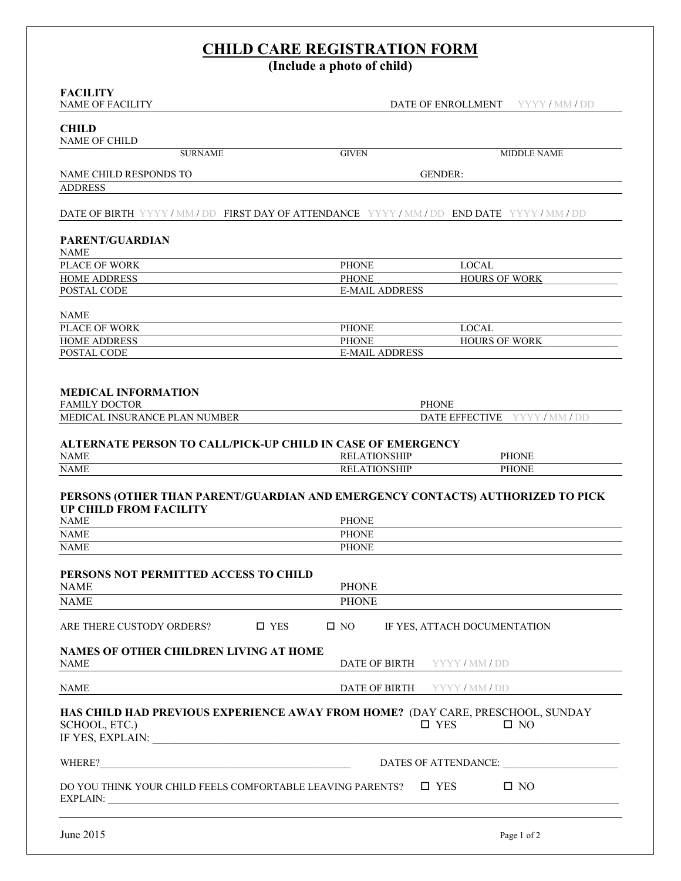# **CHILD CARE REGISTRATION FORM**

**(Include a photo of child)**

| <b>FACILITY</b><br><b>NAME OF FACILITY</b>                                                                                                                                                                                                     | DATE OF ENROLLMENT<br>YYYY/MM/DD                                                                                |
|------------------------------------------------------------------------------------------------------------------------------------------------------------------------------------------------------------------------------------------------|-----------------------------------------------------------------------------------------------------------------|
|                                                                                                                                                                                                                                                |                                                                                                                 |
| <b>CHILD</b><br><b>NAME OF CHILD</b>                                                                                                                                                                                                           |                                                                                                                 |
| <b>SURNAME</b>                                                                                                                                                                                                                                 | <b>GIVEN</b><br><b>MIDDLE NAME</b>                                                                              |
|                                                                                                                                                                                                                                                |                                                                                                                 |
| NAME CHILD RESPONDS TO                                                                                                                                                                                                                         | <b>GENDER:</b>                                                                                                  |
| <b>ADDRESS</b>                                                                                                                                                                                                                                 |                                                                                                                 |
|                                                                                                                                                                                                                                                | <b>DATE OF BIRTH YYYY/MM/DD FIRST DAY OF ATTENDANCE YYYY/MM/DD END DATE YYYY/MM/DD</b>                          |
|                                                                                                                                                                                                                                                |                                                                                                                 |
| <b>PARENT/GUARDIAN</b><br><b>NAME</b>                                                                                                                                                                                                          |                                                                                                                 |
| <b>PLACE OF WORK</b>                                                                                                                                                                                                                           | <b>LOCAL</b><br><b>PHONE</b>                                                                                    |
| <b>HOME ADDRESS</b>                                                                                                                                                                                                                            | <b>PHONE</b><br><b>HOURS OF WORK</b>                                                                            |
| POSTAL CODE                                                                                                                                                                                                                                    | <b>E-MAIL ADDRESS</b>                                                                                           |
|                                                                                                                                                                                                                                                |                                                                                                                 |
| <b>NAME</b>                                                                                                                                                                                                                                    |                                                                                                                 |
| <b>PLACE OF WORK</b>                                                                                                                                                                                                                           | <b>PHONE</b><br><b>LOCAL</b>                                                                                    |
| <b>HOME ADDRESS</b><br>POSTAL CODE                                                                                                                                                                                                             | <b>PHONE</b><br><b>HOURS OF WORK</b><br><b>E-MAIL ADDRESS</b>                                                   |
|                                                                                                                                                                                                                                                |                                                                                                                 |
| <b>MEDICAL INFORMATION</b>                                                                                                                                                                                                                     |                                                                                                                 |
| <b>FAMILY DOCTOR</b>                                                                                                                                                                                                                           | <b>PHONE</b>                                                                                                    |
| MEDICAL INSURANCE PLAN NUMBER                                                                                                                                                                                                                  | <b>DATE EFFECTIVE</b><br>YYYY/MM/DD                                                                             |
| <b>ALTERNATE PERSON TO CALL/PICK-UP CHILD IN CASE OF EMERGENCY</b><br><b>NAME</b>                                                                                                                                                              | <b>RELATIONSHIP</b><br><b>PHONE</b>                                                                             |
| <b>NAME</b>                                                                                                                                                                                                                                    | <b>PHONE</b><br><b>RELATIONSHIP</b>                                                                             |
| <b>UP CHILD FROM FACILITY</b><br><b>NAME</b>                                                                                                                                                                                                   | PERSONS (OTHER THAN PARENT/GUARDIAN AND EMERGENCY CONTACTS) AUTHORIZED TO PICK<br><b>PHONE</b>                  |
| <b>NAME</b>                                                                                                                                                                                                                                    | <b>PHONE</b>                                                                                                    |
| <b>NAME</b>                                                                                                                                                                                                                                    | <b>PHONE</b>                                                                                                    |
|                                                                                                                                                                                                                                                |                                                                                                                 |
| PERSONS NOT PERMITTED ACCESS TO CHILD<br><b>NAME</b>                                                                                                                                                                                           | <b>PHONE</b>                                                                                                    |
| <b>NAME</b>                                                                                                                                                                                                                                    | <b>PHONE</b>                                                                                                    |
|                                                                                                                                                                                                                                                |                                                                                                                 |
| ARE THERE CUSTODY ORDERS?                                                                                                                                                                                                                      | $\square$ YES<br>$\square$ NO<br>IF YES, ATTACH DOCUMENTATION                                                   |
| NAMES OF OTHER CHILDREN LIVING AT HOME<br><b>NAME</b>                                                                                                                                                                                          | DATE OF BIRTH<br>YYYY/MM/DD                                                                                     |
| <b>NAME</b>                                                                                                                                                                                                                                    | DATE OF BIRTH<br>YYYY/MM/DD                                                                                     |
| SCHOOL, ETC.)<br>IF YES, EXPLAIN: North and the set of the set of the set of the set of the set of the set of the set of the set of the set of the set of the set of the set of the set of the set of the set of the set of the set of the set | HAS CHILD HAD PREVIOUS EXPERIENCE AWAY FROM HOME? (DAY CARE, PRESCHOOL, SUNDAY<br>$\square$ YES<br>$\square$ NO |
| WHERE?                                                                                                                                                                                                                                         | DATES OF ATTENDANCE:                                                                                            |
| DO YOU THINK YOUR CHILD FEELS COMFORTABLE LEAVING PARENTS?                                                                                                                                                                                     | $\square$ NO<br>$\square$ YES                                                                                   |
| June 2015                                                                                                                                                                                                                                      | Page 1 of 2                                                                                                     |